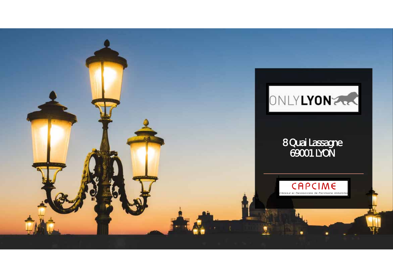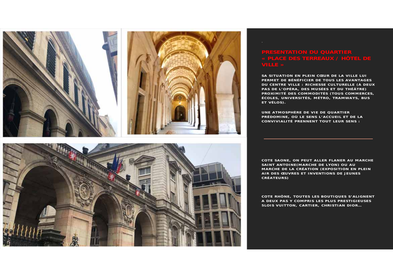

# **PRESENTATION DU QUARTIER PLACE DES TERREAUX / HÔTEL DE VILLE »**

**SA SITUATION EN PLEIN CŒUR DE LA VILLE LUI PERMET DE BÉNÉFICIER DE TOUS LES AVANTAGES DU CENTRE VILLE : RICHESSE CULTURELLE (À DEUX PAS DE L'OPÉRA, DES MUSÉES ET DU THÉÂTRE) PROXIMITÉ DES COMMODITÉS (TOUS COMMERCES, ÉCOLES, UNIVERSITÉS, MÉTRO, TRAMWAYS, BUS ET VÉLOS).**

**UNE ATMOSPHÈRE DE VIE DE QUARTIER PRÉDOMINE, OÙ LE SENS L'ACCUEIL ET DE LA CONVIVIALITÉ PRENNENT TOUT LEUR SENS :**

**COTE SAONE, ON PEUT ALLER FLANER AU MARCHE SAINT ANTOINE(MARCHE DE LYON) OU AU MARCHE DE LA CRÉATION (EXPOSITION EN PLEIN AIR DES ŒUVRES ET INVENTIONS DE JEUNES CRÉATEURS)**

**COTE RHÔNE, TOUTES LES BOUTIQUES S'ALIGNENT A DEUX PAS Y COMPRIS LES PLUS PRESTIGIEUSES 5LOIS VUITTON, CARTIER, CHRISTIAN DIOR…**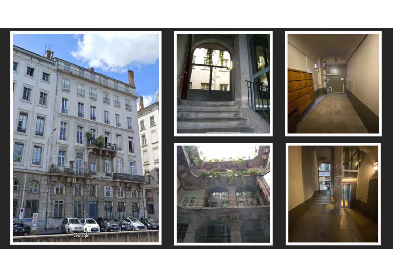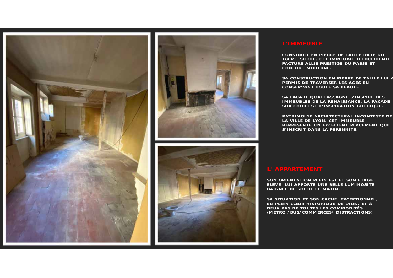





**CONSTRUIT EN PIERRE DE TAILLE DATE DU 18EME SIECLE, CET IMMEUBLE D'EXCELLENTE FACTURE ALLIE PRESTIGE DU PASSE ET CONFORT MODERNE.**

**SA CONSTRUCTION EN PIERRE DE TAILLE LUI A PERMIS DE TRAVERSER LES AGES EN CONSERVANT TOUTE SA BEAUTE.**

**SA FACADE QUAI LASSAGNE S'INSPIRE DES IMMEUBLES DE LA RENA ISSANCE. LA FAÇADE SUR COUR EST D'INSPIRATION GOTHIQUE.**

**PATRIMOINE ARCHITECTURAL INCONTESTE DE LA VILLE DE LYON, CET IMMEUBLE REPRESENTE UN EXCELLENT PLACEMENT QUI S'INSCRIT DANS LA PERENNITE.** 

**SON ORIENTATION PLEIN EST ET SON ETAGE ELEVE LUI APPORTE UNE BELLE LUMINOSITÉ BAIGNEE DE SOLEIL LE MATIN.**

**SA SITUATION ET SON CACHE EXCEPTIONNEL, EN PLEIN CŒUR HISTORIQUE DE LYON, ET À DEUX PAS DE TOUTES LES COMMODITÉS. (METRO /BUS/COMMERCES/ DISTRACTIONS)**